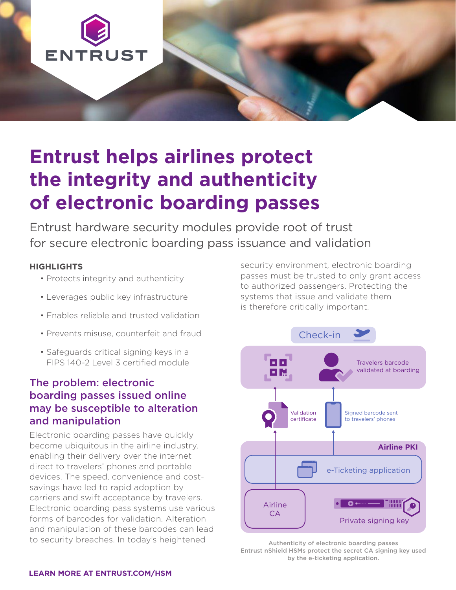

# **Entrust helps airlines protect the integrity and authenticity of electronic boarding passes**

Entrust hardware security modules provide root of trust for secure electronic boarding pass issuance and validation

#### **HIGHLIGHTS**

- Protects integrity and authenticity
- Leverages public key infrastructure
- Enables reliable and trusted validation
- Prevents misuse, counterfeit and fraud
- Safeguards critical signing keys in a FIPS 140-2 Level 3 certified module

### The problem: electronic boarding passes issued online may be susceptible to alteration and manipulation

Electronic boarding passes have quickly become ubiquitous in the airline industry, enabling their delivery over the internet direct to travelers' phones and portable devices. The speed, convenience and costsavings have led to rapid adoption by carriers and swift acceptance by travelers. Electronic boarding pass systems use various forms of barcodes for validation. Alteration and manipulation of these barcodes can lead to security breaches. In today's heightened

security environment, electronic boarding passes must be trusted to only grant access to authorized passengers. Protecting the systems that issue and validate them is therefore critically important.



Authenticity of electronic boarding passes Entrust nShield HSMs protect the secret CA signing key used by the e-ticketing application.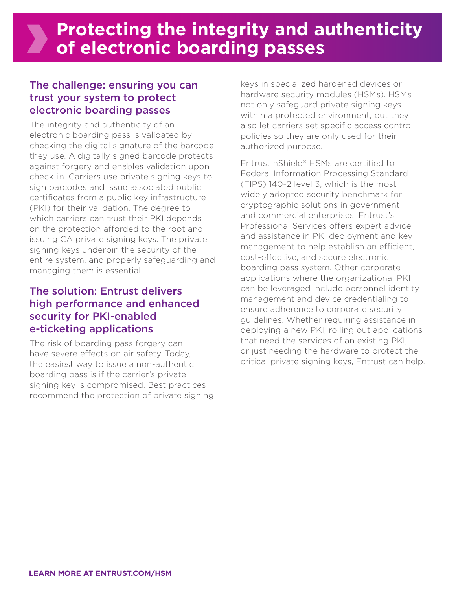### The challenge: ensuring you can trust your system to protect electronic boarding passes

The integrity and authenticity of an electronic boarding pass is validated by checking the digital signature of the barcode they use. A digitally signed barcode protects against forgery and enables validation upon check-in. Carriers use private signing keys to sign barcodes and issue associated public certificates from a public key infrastructure (PKI) for their validation. The degree to which carriers can trust their PKI depends on the protection afforded to the root and issuing CA private signing keys. The private signing keys underpin the security of the entire system, and properly safeguarding and managing them is essential.

## The solution: Entrust delivers high performance and enhanced security for PKI-enabled e-ticketing applications

The risk of boarding pass forgery can have severe effects on air safety. Today, the easiest way to issue a non-authentic boarding pass is if the carrier's private signing key is compromised. Best practices recommend the protection of private signing keys in specialized hardened devices or hardware security modules (HSMs). HSMs not only safeguard private signing keys within a protected environment, but they also let carriers set specific access control policies so they are only used for their authorized purpose.

Entrust nShield® HSMs are certified to Federal Information Processing Standard (FIPS) 140-2 level 3, which is the most widely adopted security benchmark for cryptographic solutions in government and commercial enterprises. Entrust's Professional Services offers expert advice and assistance in PKI deployment and key management to help establish an efficient, cost-effective, and secure electronic boarding pass system. Other corporate applications where the organizational PKI can be leveraged include personnel identity management and device credentialing to ensure adherence to corporate security guidelines. Whether requiring assistance in deploying a new PKI, rolling out applications that need the services of an existing PKI, or just needing the hardware to protect the critical private signing keys, Entrust can help.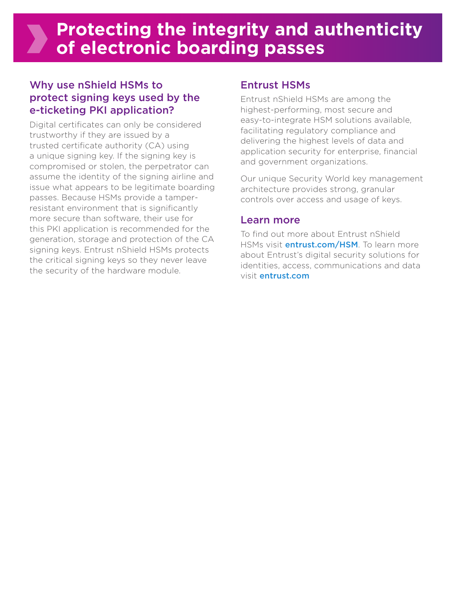# **Protecting the integrity and authenticity of electronic boarding passes**

## Why use nShield HSMs to protect signing keys used by the e-ticketing PKI application?

Digital certificates can only be considered trustworthy if they are issued by a trusted certificate authority (CA) using a unique signing key. If the signing key is compromised or stolen, the perpetrator can assume the identity of the signing airline and issue what appears to be legitimate boarding passes. Because HSMs provide a tamperresistant environment that is significantly more secure than software, their use for this PKI application is recommended for the generation, storage and protection of the CA signing keys. Entrust nShield HSMs protects the critical signing keys so they never leave the security of the hardware module.

### Entrust HSMs

Entrust nShield HSMs are among the highest-performing, most secure and easy-to-integrate HSM solutions available, facilitating regulatory compliance and delivering the highest levels of data and application security for enterprise, financial and government organizations.

Our unique Security World key management architecture provides strong, granular controls over access and usage of keys.

### Learn more

To find out more about Entrust nShield HSMs visit *entrust.com/HSM*. To learn more about Entrust's digital security solutions for identities, access, communications and data visit entrust.com